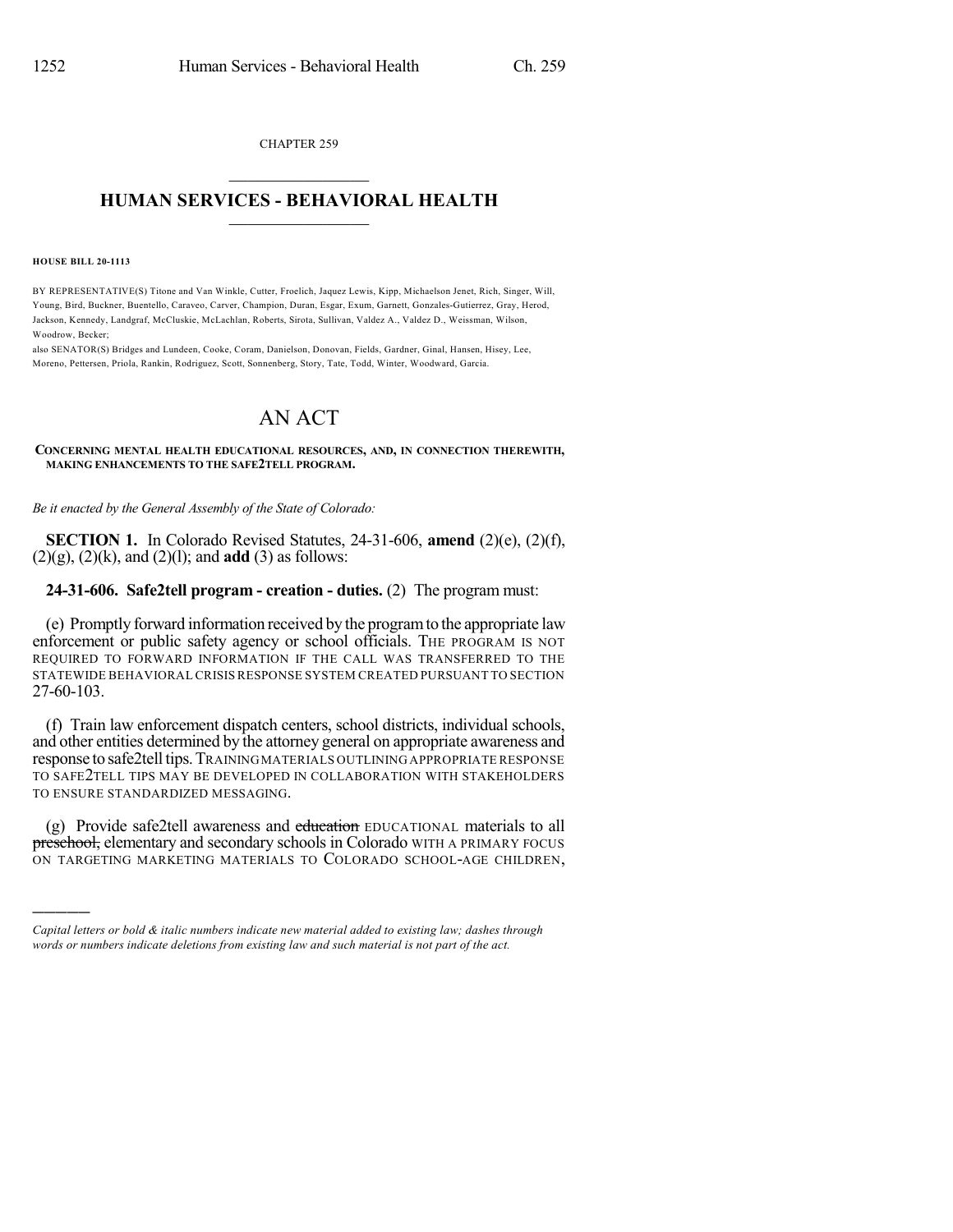CHAPTER 259  $\overline{\phantom{a}}$  . The set of the set of the set of the set of the set of the set of the set of the set of the set of the set of the set of the set of the set of the set of the set of the set of the set of the set of the set o

## **HUMAN SERVICES - BEHAVIORAL HEALTH**  $\frac{1}{2}$  ,  $\frac{1}{2}$  ,  $\frac{1}{2}$  ,  $\frac{1}{2}$  ,  $\frac{1}{2}$  ,  $\frac{1}{2}$  ,  $\frac{1}{2}$

**HOUSE BILL 20-1113**

)))))

BY REPRESENTATIVE(S) Titone and Van Winkle, Cutter, Froelich, Jaquez Lewis, Kipp, Michaelson Jenet, Rich, Singer, Will, Young, Bird, Buckner, Buentello, Caraveo, Carver, Champion, Duran, Esgar, Exum, Garnett, Gonzales-Gutierrez, Gray, Herod, Jackson, Kennedy, Landgraf, McCluskie, McLachlan, Roberts, Sirota, Sullivan, Valdez A., Valdez D., Weissman, Wilson, Woodrow, Becker;

also SENATOR(S) Bridges and Lundeen, Cooke, Coram, Danielson, Donovan, Fields, Gardner, Ginal, Hansen, Hisey, Lee, Moreno, Pettersen, Priola, Rankin, Rodriguez, Scott, Sonnenberg, Story, Tate, Todd, Winter, Woodward, Garcia.

## AN ACT

## **CONCERNING MENTAL HEALTH EDUCATIONAL RESOURCES, AND, IN CONNECTION THEREWITH, MAKING ENHANCEMENTS TO THE SAFE2TELL PROGRAM.**

*Be it enacted by the General Assembly of the State of Colorado:*

**SECTION 1.** In Colorado Revised Statutes, 24-31-606, **amend** (2)(e), (2)(f), (2)(g), (2)(k), and (2)(l); and **add** (3) as follows:

## **24-31-606. Safe2tell program - creation - duties.** (2) The program must:

(e) Promptly forward information received by the programto the appropriate law enforcement or public safety agency or school officials. THE PROGRAM IS NOT REQUIRED TO FORWARD INFORMATION IF THE CALL WAS TRANSFERRED TO THE STATEWIDE BEHAVIORALCRISIS RESPONSE SYSTEM CREATED PURSUANT TO SECTION 27-60-103.

(f) Train law enforcement dispatch centers, school districts, individual schools, and other entities determined by the attorney general on appropriate awareness and response to safe2telltips.TRAININGMATERIALS OUTLINING APPROPRIATE RESPONSE TO SAFE2TELL TIPS MAY BE DEVELOPED IN COLLABORATION WITH STAKEHOLDERS TO ENSURE STANDARDIZED MESSAGING.

(g) Provide safe2tell awareness and education EDUCATIONAL materials to all preschool, elementary and secondary schools in Colorado WITH A PRIMARY FOCUS ON TARGETING MARKETING MATERIALS TO COLORADO SCHOOL-AGE CHILDREN,

*Capital letters or bold & italic numbers indicate new material added to existing law; dashes through words or numbers indicate deletions from existing law and such material is not part of the act.*